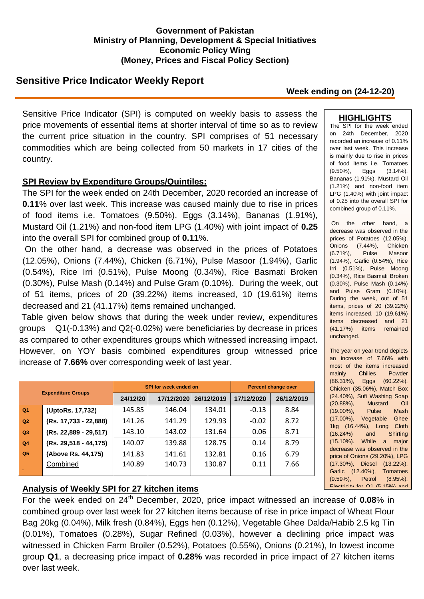#### **Government of Pakistan Ministry of Planning, Development & Special Initiatives Economic Policy Wing (Money, Prices and Fiscal Policy Section)**

# **Sensitive Price Indicator Weekly Report**

#### **Week ending on (24-12-20)**

Sensitive Price Indicator (SPI) is computed on weekly basis to assess the price movements of essential items at shorter interval of time so as to review the current price situation in the country. SPI comprises of 51 necessary commodities which are being collected from 50 markets in 17 cities of the country.

#### **SPI Review by Expenditure Groups/Quintiles:**

The SPI for the week ended on 24th December, 2020 recorded an increase of **0.11**% over last week. This increase was caused mainly due to rise in prices of food items i.e. Tomatoes (9.50%), Eggs (3.14%), Bananas (1.91%), Mustard Oil (1.21%) and non-food item LPG (1.40%) with joint impact of **0.25** into the overall SPI for combined group of **0.11**%.

On the other hand, a decrease was observed in the prices of Potatoes (12.05%), Onions (7.44%), Chicken (6.71%), Pulse Masoor (1.94%), Garlic (0.54%), Rice Irri (0.51%), Pulse Moong (0.34%), Rice Basmati Broken (0.30%), Pulse Mash (0.14%) and Pulse Gram (0.10%). During the week, out of 51 items, prices of 20 (39.22%) items increased, 10 (19.61%) items decreased and 21 (41.17%) items remained unchanged.

Table given below shows that during the week under review, expenditures groups Q1(-0.13%) and Q2(-0.02%) were beneficiaries by decrease in prices as compared to other expenditures groups which witnessed increasing impact. However, on YOY basis combined expenditures group witnessed price increase of **7.66%** over corresponding week of last year.

| <b>Expenditure Groups</b> |                       | SPI for week ended on |            |            | <b>Percent change over</b> |            |
|---------------------------|-----------------------|-----------------------|------------|------------|----------------------------|------------|
|                           |                       | 24/12/20              | 17/12/2020 | 26/12/2019 | 17/12/2020                 | 26/12/2019 |
| Q <sub>1</sub>            | (UptoRs. 17,732)      | 145.85                | 146.04     | 134.01     | $-0.13$                    | 8.84       |
| Q <sub>2</sub>            | (Rs. 17,733 - 22,888) | 141.26                | 141.29     | 129.93     | $-0.02$                    | 8.72       |
| Q3                        | (Rs. 22,889 - 29,517) | 143.10                | 143.02     | 131.64     | 0.06                       | 8.71       |
| Q <sub>4</sub>            | (Rs. 29,518 - 44,175) | 140.07                | 139.88     | 128.75     | 0.14                       | 8.79       |
| Q <sub>5</sub>            | (Above Rs. 44,175)    | 141.83                | 141.61     | 132.81     | 0.16                       | 6.79       |
|                           | Combined              | 140.89                | 140.73     | 130.87     | 0.11                       | 7.66       |

## **Analysis of Weekly SPI for 27 kitchen items**

Pulse Gram (0.81%). For the week ended on 24th December, 2020, price impact witnessed an increase of **0.08**% in combined group over last week for 27 kitchen items because of rise in price impact of Wheat Flour Bag 20kg (0.04%), Milk fresh (0.84%), Eggs hen (0.12%), Vegetable Ghee Dalda/Habib 2.5 kg Tin (0.01%), Tomatoes (0.28%), Sugar Refined (0.03%), however a declining price impact was witnessed in Chicken Farm Broiler (0.52%), Potatoes (0.55%), Onions (0.21%), In lowest income group **Q1**, a decreasing price impact of **0.28%** was recorded in price impact of 27 kitchen items over last week.

### **HIGHLIGHTS**

The SPI for the week ended on 24th December, 2020 recorded an increase of 0.11% over last week. This increase is mainly due to rise in prices of food items i.e. Tomatoes (9.50%), Eggs (3.14%), Bananas (1.91%), Mustard Oil (1.21%) and non-food item LPG (1.40%) with joint impact of 0.25 into the overall SPI for combined group of 0.11%.

On the other hand, a decrease was observed in the prices of Potatoes (12.05%), Onions (7.44%), Chicken (6.71%), Pulse Masoor (1.94%), Garlic (0.54%), Rice Irri (0.51%), Pulse Moong (0.34%), Rice Basmati Broken (0.30%), Pulse Mash (0.14%) and Pulse Gram (0.10%). During the week, out of 51 items, prices of 20 (39.22%) items increased, 10 (19.61%) items decreased and 21 (41.17%) items remained unchanged.

The year on year trend depicts an increase of 7.66% with most of the items increased mainly Chilies Powder (86.31%), Eggs (60.22%), Chicken (35.06%), Match Box (24.40%), Sufi Washing Soap (20.88%), Mustard Oil (19.00%), Pulse Mash (17.00%), Vegetable Ghee 1kg (16.44%), Long Cloth (16.24%) and Shirting (15.10%). While a major decrease was observed in the price of Onions (29.20%), LPG (17.30%), Diesel (13.22%), Garlic (12.40%), Tomatoes (9.59%), Petrol (8.95%),  $E$ lectricity for  $\bigcap$ 1 (E.150/) and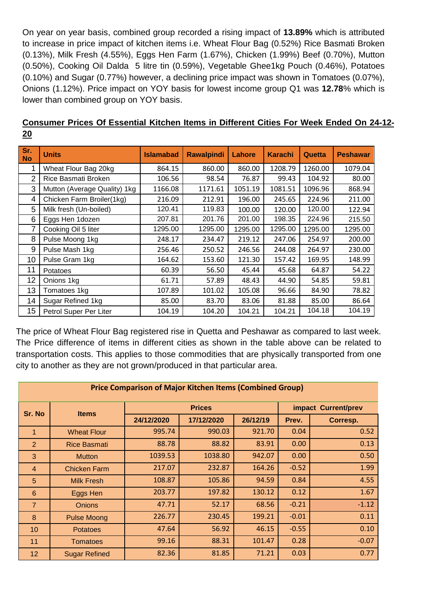On year on year basis, combined group recorded a rising impact of **13.89%** which is attributed to increase in price impact of kitchen items i.e. Wheat Flour Bag (0.52%) Rice Basmati Broken (0.13%), Milk Fresh (4.55%), Eggs Hen Farm (1.67%), Chicken (1.99%) Beef (0.70%), Mutton (0.50%), Cooking Oil Dalda 5 litre tin (0.59%), Vegetable Ghee1kg Pouch (0.46%), Potatoes (0.10%) and Sugar (0.77%) however, a declining price impact was shown in Tomatoes (0.07%), Onions (1.12%). Price impact on YOY basis for lowest income group Q1 was **12.78**% which is lower than combined group on YOY basis.

| Sr.<br><b>No</b> | <b>Units</b>                 | <b>Islamabad</b> | <b>Rawalpindi</b> | Lahore  | <b>Karachi</b> | Quetta  | <b>Peshawar</b> |
|------------------|------------------------------|------------------|-------------------|---------|----------------|---------|-----------------|
| 1                | Wheat Flour Bag 20kg         | 864.15           | 860.00            | 860.00  | 1208.79        | 1260.00 | 1079.04         |
| 2                | Rice Basmati Broken          | 106.56           | 98.54             | 76.87   | 99.43          | 104.92  | 80.00           |
| 3                | Mutton (Average Quality) 1kg | 1166.08          | 1171.61           | 1051.19 | 1081.51        | 1096.96 | 868.94          |
| 4                | Chicken Farm Broiler(1kg)    | 216.09           | 212.91            | 196.00  | 245.65         | 224.96  | 211.00          |
| 5                | Milk fresh (Un-boiled)       | 120.41           | 119.83            | 100.00  | 120.00         | 120.00  | 122.94          |
| 6                | Eggs Hen 1dozen              | 207.81           | 201.76            | 201.00  | 198.35         | 224.96  | 215.50          |
| 7                | Cooking Oil 5 liter          | 1295.00          | 1295.00           | 1295.00 | 1295.00        | 1295.00 | 1295.00         |
| 8                | Pulse Moong 1kg              | 248.17           | 234.47            | 219.12  | 247.06         | 254.97  | 200.00          |
| 9                | Pulse Mash 1kg               | 256.46           | 250.52            | 246.56  | 244.08         | 264.97  | 230.00          |
| 10               | Pulse Gram 1kg               | 164.62           | 153.60            | 121.30  | 157.42         | 169.95  | 148.99          |
| 11               | Potatoes                     | 60.39            | 56.50             | 45.44   | 45.68          | 64.87   | 54.22           |
| 12               | Onions 1kg                   | 61.71            | 57.89             | 48.43   | 44.90          | 54.85   | 59.81           |
| 13               | Tomatoes 1kg                 | 107.89           | 101.02            | 105.08  | 96.66          | 84.90   | 78.82           |
| 14               | Sugar Refined 1kg            | 85.00            | 83.70             | 83.06   | 81.88          | 85.00   | 86.64           |
| 15               | Petrol Super Per Liter       | 104.19           | 104.20            | 104.21  | 104.21         | 104.18  | 104.19          |

## **Consumer Prices Of Essential Kitchen Items in Different Cities For Week Ended On 24-12- 20**

The price of Wheat Flour Bag registered rise in Quetta and Peshawar as compared to last week. The Price difference of items in different cities as shown in the table above can be related to transportation costs. This applies to those commodities that are physically transported from one city to another as they are not grown/produced in that particular area.

| <b>Price Comparison of Major Kitchen Items (Combined Group)</b> |                      |               |            |          |                     |          |  |
|-----------------------------------------------------------------|----------------------|---------------|------------|----------|---------------------|----------|--|
| Sr. No                                                          | <b>Items</b>         | <b>Prices</b> |            |          | impact Current/prev |          |  |
|                                                                 |                      | 24/12/2020    | 17/12/2020 | 26/12/19 | Prev.               | Corresp. |  |
| 1                                                               | <b>Wheat Flour</b>   | 995.74        | 990.03     | 921.70   | 0.04                | 0.52     |  |
| $\overline{2}$                                                  | <b>Rice Basmati</b>  | 88.78         | 88.82      | 83.91    | 0.00                | 0.13     |  |
| 3                                                               | <b>Mutton</b>        | 1039.53       | 1038.80    | 942.07   | 0.00                | 0.50     |  |
| 4                                                               | <b>Chicken Farm</b>  | 217.07        | 232.87     | 164.26   | $-0.52$             | 1.99     |  |
| 5                                                               | <b>Milk Fresh</b>    | 108.87        | 105.86     | 94.59    | 0.84                | 4.55     |  |
| $6\phantom{1}$                                                  | Eggs Hen             | 203.77        | 197.82     | 130.12   | 0.12                | 1.67     |  |
| $\overline{7}$                                                  | <b>Onions</b>        | 47.71         | 52.17      | 68.56    | $-0.21$             | $-1.12$  |  |
| 8                                                               | <b>Pulse Moong</b>   | 226.77        | 230.45     | 199.21   | $-0.01$             | 0.11     |  |
| 10                                                              | <b>Potatoes</b>      | 47.64         | 56.92      | 46.15    | $-0.55$             | 0.10     |  |
| 11                                                              | <b>Tomatoes</b>      | 99.16         | 88.31      | 101.47   | 0.28                | $-0.07$  |  |
| 12                                                              | <b>Sugar Refined</b> | 82.36         | 81.85      | 71.21    | 0.03                | 0.77     |  |